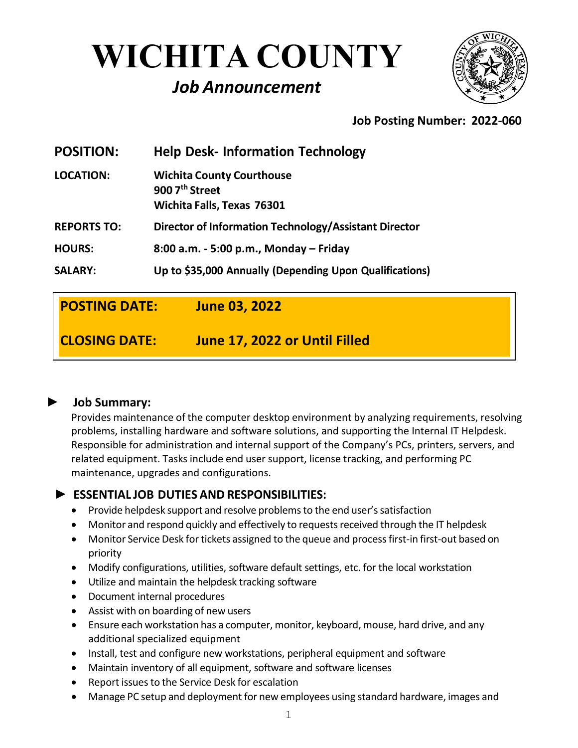# **WICHITA COUNTY**

# *Job Announcement*



# **Job Posting Number: 2022-060**

| <b>POSITION:</b>   | <b>Help Desk- Information Technology</b>                                                     |
|--------------------|----------------------------------------------------------------------------------------------|
| <b>LOCATION:</b>   | <b>Wichita County Courthouse</b><br>900 7 <sup>th</sup> Street<br>Wichita Falls, Texas 76301 |
| <b>REPORTS TO:</b> | Director of Information Technology/Assistant Director                                        |
| <b>HOURS:</b>      | 8:00 a.m. - 5:00 p.m., Monday - Friday                                                       |
| <b>SALARY:</b>     | Up to \$35,000 Annually (Depending Upon Qualifications)                                      |

| <b>POSTING DATE:</b> | <b>June 03, 2022</b>          |
|----------------------|-------------------------------|
| <b>CLOSING DATE:</b> | June 17, 2022 or Until Filled |

#### **► Job Summary:**

Provides maintenance of the computer desktop environment by analyzing requirements, resolving problems, installing hardware and software solutions, and supporting the Internal IT Helpdesk. Responsible for administration and internal support of the Company's PCs, printers, servers, and related equipment. Tasks include end user support, license tracking, and performing PC maintenance, upgrades and configurations.

## **► ESSENTIAL JOB DUTIES AND RESPONSIBILITIES:**

- Provide helpdesk support and resolve problems to the end user's satisfaction
- Monitor and respond quickly and effectively to requests received through the IT helpdesk
- Monitor Service Desk for tickets assigned to the queue and process first-in first-out based on priority
- Modify configurations, utilities, software default settings, etc. for the local workstation
- Utilize and maintain the helpdesk tracking software
- Document internal procedures
- Assist with on boarding of new users
- Ensure each workstation has a computer, monitor, keyboard, mouse, hard drive, and any additional specialized equipment
- Install, test and configure new workstations, peripheral equipment and software
- Maintain inventory of all equipment, software and software licenses
- Report issues to the Service Desk for escalation
- Manage PC setup and deployment for new employees using standard hardware, images and